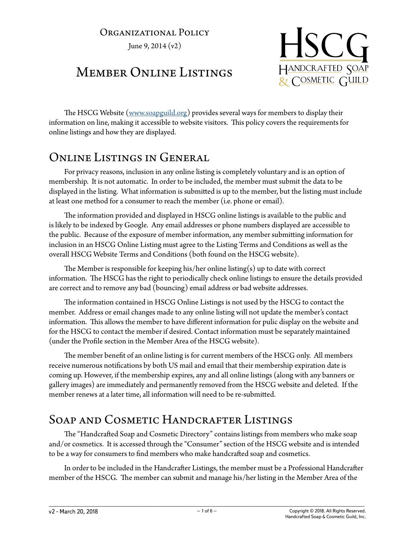### ORGANIZATIONAL POLICY

June 9, 2014 (v2)

# Member Online Listings



The HSCG Website ([www.soapguild.org\)](http://www.soapguild.org) provides several ways for members to display their information on line, making it accessible to website visitors. This policy covers the requirements for online listings and how they are displayed.

## Online Listings in General

For privacy reasons, inclusion in any online listing is completely voluntary and is an option of membership. It is not automatic. In order to be included, the member must submit the data to be displayed in the listing. What information is submitted is up to the member, but the listing must include at least one method for a consumer to reach the member (i.e. phone or email).

The information provided and displayed in HSCG online listings is available to the public and is likely to be indexed by Google. Any email addresses or phone numbers displayed are accessible to the public. Because of the exposure of member information, any member submitting information for inclusion in an HSCG Online Listing must agree to the Listing Terms and Conditions as well as the overall HSCG Website Terms and Conditions (both found on the HSCG website).

The Member is responsible for keeping his/her online listing(s) up to date with correct information. The HSCG has the right to periodically check online listings to ensure the details provided are correct and to remove any bad (bouncing) email address or bad website addresses.

The information contained in HSCG Online Listings is not used by the HSCG to contact the member. Address or email changes made to any online listing will not update the member's contact information. This allows the member to have different information for pulic display on the website and for the HSCG to contact the member if desired. Contact information must be separately maintained (under the Profile section in the Member Area of the HSCG website).

The member benefit of an online listing is for current members of the HSCG only. All members receive numerous notifications by both US mail and email that their membership expiration date is coming up. However, if the membership expires, any and all online listings (along with any banners or gallery images) are immediately and permanently removed from the HSCG website and deleted. If the member renews at a later time, all information will need to be re-submitted.

## Soap and Cosmetic Handcrafter Listings

The "Handcrafted Soap and Cosmetic Directory" contains listings from members who make soap and/or cosmetics. It is accessed through the "Consumer" section of the HSCG website and is intended to be a way for consumers to find members who make handcrafted soap and cosmetics.

In order to be included in the Handcrafter Listings, the member must be a Professional Handcrafter member of the HSCG. The member can submit and manage his/her listing in the Member Area of the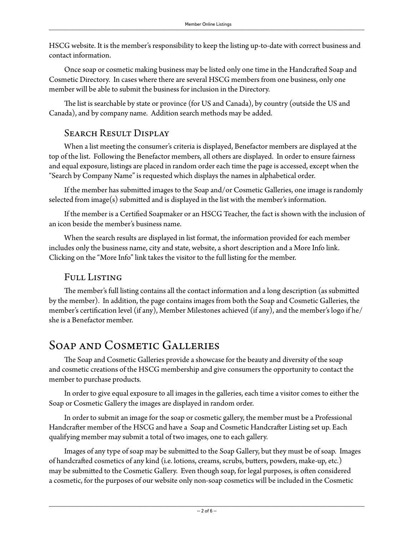HSCG website. It is the member's responsibility to keep the listing up-to-date with correct business and contact information.

Once soap or cosmetic making business may be listed only one time in the Handcrafted Soap and Cosmetic Directory. In cases where there are several HSCG members from one business, only one member will be able to submit the business for inclusion in the Directory.

The list is searchable by state or province (for US and Canada), by country (outside the US and Canada), and by company name. Addition search methods may be added.

### SEARCH RESULT DISPLAY

When a list meeting the consumer's criteria is displayed, Benefactor members are displayed at the top of the list. Following the Benefactor members, all others are displayed. In order to ensure fairness and equal exposure, listings are placed in random order each time the page is accessed, except when the "Search by Company Name" is requested which displays the names in alphabetical order.

If the member has submitted images to the Soap and/or Cosmetic Galleries, one image is randomly selected from image(s) submitted and is displayed in the list with the member's information.

If the member is a Certified Soapmaker or an HSCG Teacher, the fact is shown with the inclusion of an icon beside the member's business name.

When the search results are displayed in list format, the information provided for each member includes only the business name, city and state, website, a short description and a More Info link. Clicking on the "More Info" link takes the visitor to the full listing for the member.

### Full Listing

The member's full listing contains all the contact information and a long description (as submitted by the member). In addition, the page contains images from both the Soap and Cosmetic Galleries, the member's certification level (if any), Member Milestones achieved (if any), and the member's logo if he/ she is a Benefactor member.

## Soap and Cosmetic Galleries

The Soap and Cosmetic Galleries provide a showcase for the beauty and diversity of the soap and cosmetic creations of the HSCG membership and give consumers the opportunity to contact the member to purchase products.

In order to give equal exposure to all images in the galleries, each time a visitor comes to either the Soap or Cosmetic Gallery the images are displayed in random order.

In order to submit an image for the soap or cosmetic gallery, the member must be a Professional Handcrafter member of the HSCG and have a Soap and Cosmetic Handcrafter Listing set up. Each qualifying member may submit a total of two images, one to each gallery.

Images of any type of soap may be submitted to the Soap Gallery, but they must be of soap. Images of handcrafted cosmetics of any kind (i.e. lotions, creams, scrubs, butters, powders, make-up, etc.) may be submitted to the Cosmetic Gallery. Even though soap, for legal purposes, is often considered a cosmetic, for the purposes of our website only non-soap cosmetics will be included in the Cosmetic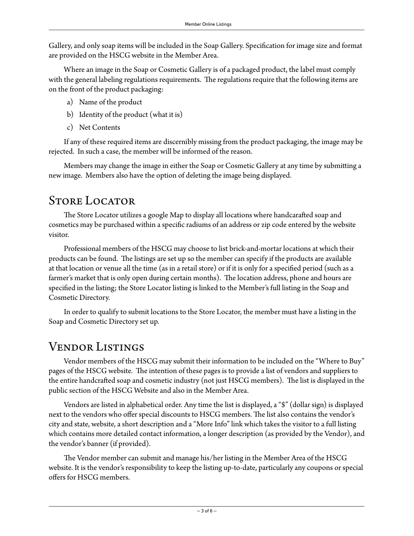Gallery, and only soap items will be included in the Soap Gallery. Specification for image size and format are provided on the HSCG website in the Member Area.

Where an image in the Soap or Cosmetic Gallery is of a packaged product, the label must comply with the general labeling regulations requirements. The regulations require that the following items are on the front of the product packaging:

- a) Name of the product
- b) Identity of the product (what it is)
- c) Net Contents

If any of these required items are discernibly missing from the product packaging, the image may be rejected. In such a case, the member will be informed of the reason.

Members may change the image in either the Soap or Cosmetic Gallery at any time by submitting a new image. Members also have the option of deleting the image being displayed.

# STORE LOCATOR

The Store Locator utilizes a google Map to display all locations where handcarafted soap and cosmetics may be purchased within a specific radiums of an address or zip code entered by the website visitor.

Professional members of the HSCG may choose to list brick-and-mortar locations at which their products can be found. The listings are set up so the member can specify if the products are available at that location or venue all the time (as in a retail store) or if it is only for a specified period (such as a farmer's market that is only open during certain months). The location address, phone and hours are specified in the listing; the Store Locator listing is linked to the Member's full listing in the Soap and Cosmetic Directory.

In order to qualify to submit locations to the Store Locator, the member must have a listing in the Soap and Cosmetic Directory set up.

# Vendor Listings

Vendor members of the HSCG may submit their information to be included on the "Where to Buy" pages of the HSCG website. The intention of these pages is to provide a list of vendors and suppliers to the entire handcrafted soap and cosmetic industry (not just HSCG members). The list is displayed in the public section of the HSCG Website and also in the Member Area.

Vendors are listed in alphabetical order. Any time the list is displayed, a "\$" (dollar sign) is displayed next to the vendors who offer special discounts to HSCG members. The list also contains the vendor's city and state, website, a short description and a "More Info" link which takes the visitor to a full listing which contains more detailed contact information, a longer description (as provided by the Vendor), and the vendor's banner (if provided).

The Vendor member can submit and manage his/her listing in the Member Area of the HSCG website. It is the vendor's responsibility to keep the listing up-to-date, particularly any coupons or special offers for HSCG members.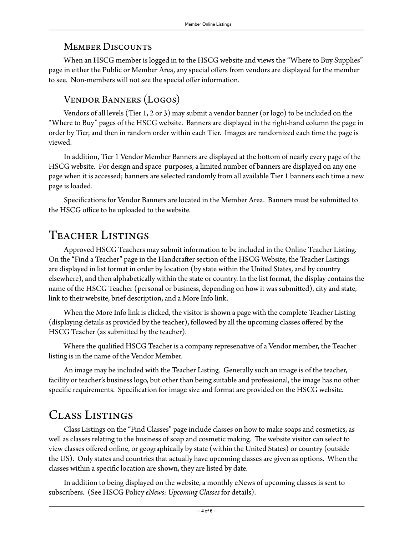#### **MEMBER DISCOUNTS**

When an HSCG member is logged in to the HSCG website and views the "Where to Buy Supplies" page in either the Public or Member Area, any special offers from vendors are displayed for the member to see. Non-members will not see the special offer information.

### Vendor Banners (Logos)

Vendors of all levels (Tier 1, 2 or 3) may submit a vendor banner (or logo) to be included on the "Where to Buy" pages of the HSCG website. Banners are displayed in the right-hand column the page in order by Tier, and then in random order within each Tier. Images are randomized each time the page is viewed.

In addition, Tier 1 Vendor Member Banners are displayed at the bottom of nearly every page of the HSCG website. For design and space purposes, a limited number of banners are displayed on any one page when it is accessed; banners are selected randomly from all available Tier 1 banners each time a new page is loaded.

Specifications for Vendor Banners are located in the Member Area. Banners must be submitted to the HSCG office to be uploaded to the website.

# Teacher Listings

Approved HSCG Teachers may submit information to be included in the Online Teacher Listing. On the "Find a Teacher" page in the Handcrafter section of the HSCG Website, the Teacher Listings are displayed in list format in order by location (by state within the United States, and by country elsewhere), and then alphabetically within the state or country. In the list format, the display contains the name of the HSCG Teacher (personal or business, depending on how it was submitted), city and state, link to their website, brief description, and a More Info link.

When the More Info link is clicked, the visitor is shown a page with the complete Teacher Listing (displaying details as provided by the teacher), followed by all the upcoming classes offered by the HSCG Teacher (as submitted by the teacher).

Where the qualified HSCG Teacher is a company represenative of a Vendor member, the Teacher listing is in the name of the Vendor Member.

An image may be included with the Teacher Listing. Generally such an image is of the teacher, facility or teacher's business logo, but other than being suitable and professional, the image has no other specific requirements. Specification for image size and format are provided on the HSCG website.

# Class Listings

Class Listings on the "Find Classes" page include classes on how to make soaps and cosmetics, as well as classes relating to the business of soap and cosmetic making. The website visitor can select to view classes offered online, or geographically by state (within the United States) or country (outside the US). Only states and countries that actually have upcoming classes are given as options. When the classes within a specific location are shown, they are listed by date.

In addition to being displayed on the website, a monthly eNews of upcoming classes is sent to subscribers. (See HSCG Policy *eNews: Upcoming Classes* for details).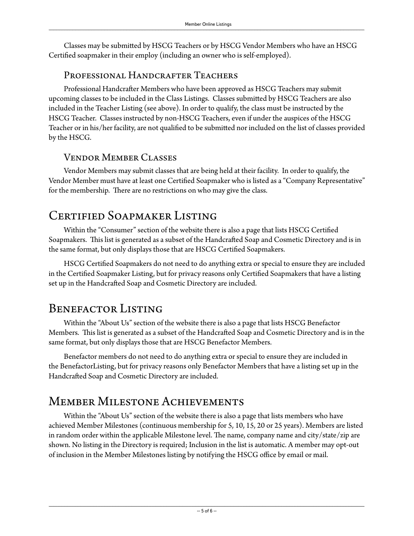Classes may be submitted by HSCG Teachers or by HSCG Vendor Members who have an HSCG Certified soapmaker in their employ (including an owner who is self-employed).

#### Professional Handcrafter Teachers

Professional Handcrafter Members who have been approved as HSCG Teachers may submit upcoming classes to be included in the Class Listings. Classes submitted by HSCG Teachers are also included in the Teacher Listing (see above). In order to qualify, the class must be instructed by the HSCG Teacher. Classes instructed by non-HSCG Teachers, even if under the auspices of the HSCG Teacher or in his/her facility, are not qualified to be submitted nor included on the list of classes provided by the HSCG.

### Vendor Member Classes

Vendor Members may submit classes that are being held at their facility. In order to qualify, the Vendor Member must have at least one Certified Soapmaker who is listed as a "Company Representative" for the membership. There are no restrictions on who may give the class.

# Certified Soapmaker Listing

Within the "Consumer" section of the website there is also a page that lists HSCG Certified Soapmakers. This list is generated as a subset of the Handcrafted Soap and Cosmetic Directory and is in the same format, but only displays those that are HSCG Certified Soapmakers.

HSCG Certified Soapmakers do not need to do anything extra or special to ensure they are included in the Certified Soapmaker Listing, but for privacy reasons only Certified Soapmakers that have a listing set up in the Handcrafted Soap and Cosmetic Directory are included.

## BENEFACTOR LISTING

Within the "About Us" section of the website there is also a page that lists HSCG Benefactor Members. This list is generated as a subset of the Handcrafted Soap and Cosmetic Directory and is in the same format, but only displays those that are HSCG Benefactor Members.

Benefactor members do not need to do anything extra or special to ensure they are included in the BenefactorListing, but for privacy reasons only Benefactor Members that have a listing set up in the Handcrafted Soap and Cosmetic Directory are included.

## Member Milestone Achievements

Within the "About Us" section of the website there is also a page that lists members who have achieved Member Milestones (continuous membership for 5, 10, 15, 20 or 25 years). Members are listed in random order within the applicable Milestone level. The name, company name and city/state/zip are shown. No listing in the Directory is required; Inclusion in the list is automatic. A member may opt-out of inclusion in the Member Milestones listing by notifying the HSCG office by email or mail.